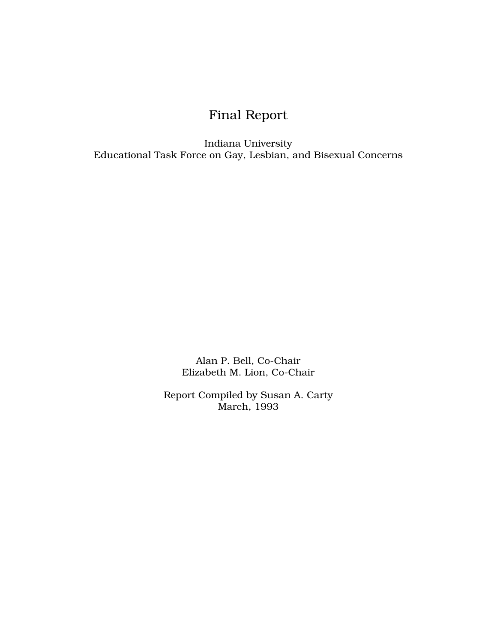# Final Report

Indiana University Educational Task Force on Gay, Lesbian, and Bisexual Concerns

> Alan P. Bell, Co-Chair Elizabeth M. Lion, Co-Chair

Report Compiled by Susan A. Carty March, 1993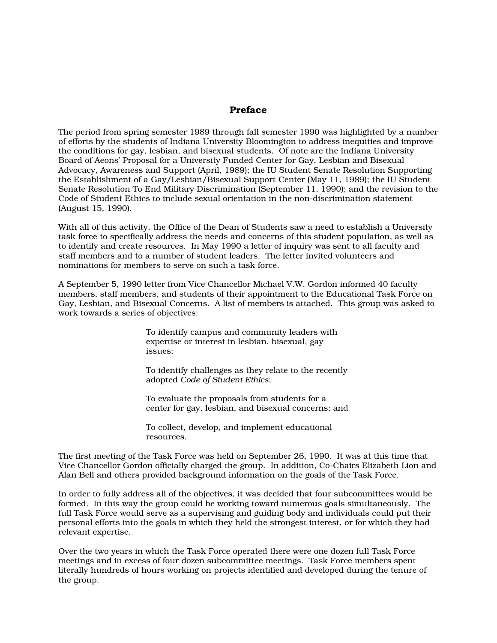# Preface

The period from spring semester 1989 through fall semester 1990 was highlighted by a number of efforts by the students of Indiana University Bloomington to address inequities and improve the conditions for gay, lesbian, and bisexual students. Of note are the Indiana University Board of Aeons' Proposal for a University Funded Center for Gay, Lesbian and Bisexual Advocacy, Awareness and Support (April, 1989); the IU Student Senate Resolution Supporting the Establishment of a Gay/Lesbian/Bisexual Support Center (May 11, 1989); the IU Student Senate Resolution To End Military Discrimination (September 11, 1990); and the revision to the Code of Student Ethics to include sexual orientation in the non-discrimination statement (August 15, 1990).

With all of this activity, the Office of the Dean of Students saw a need to establish a University task force to specifically address the needs and concerns of this student population, as well as to identify and create resources. In May 1990 a letter of inquiry was sent to all faculty and staff members and to a number of student leaders. The letter invited volunteers and nominations for members to serve on such a task force.

A September 5, 1990 letter from Vice Chancellor Michael V.W. Gordon informed 40 faculty members, staff members, and students of their appointment to the Educational Task Force on Gay, Lesbian, and Bisexual Concerns. A list of members is attached. This group was asked to work towards a series of objectives:

> To identify campus and community leaders with expertise or interest in lesbian, bisexual, gay issues;

To identify challenges as they relate to the recently adopted *Code of Student Ethics*;

To evaluate the proposals from students for a center for gay, lesbian, and bisexual concerns; and

To collect, develop, and implement educational resources.

The first meeting of the Task Force was held on September 26, 1990. It was at this time that Vice Chancellor Gordon officially charged the group. In addition, Co-Chairs Elizabeth Lion and Alan Bell and others provided background information on the goals of the Task Force.

In order to fully address all of the objectives, it was decided that four subcommittees would be formed. In this way the group could be working toward numerous goals simultaneously. The full Task Force would serve as a supervising and guiding body and individuals could put their personal efforts into the goals in which they held the strongest interest, or for which they had relevant expertise.

Over the two years in which the Task Force operated there were one dozen full Task Force meetings and in excess of four dozen subcommittee meetings. Task Force members spent literally hundreds of hours working on projects identified and developed during the tenure of the group.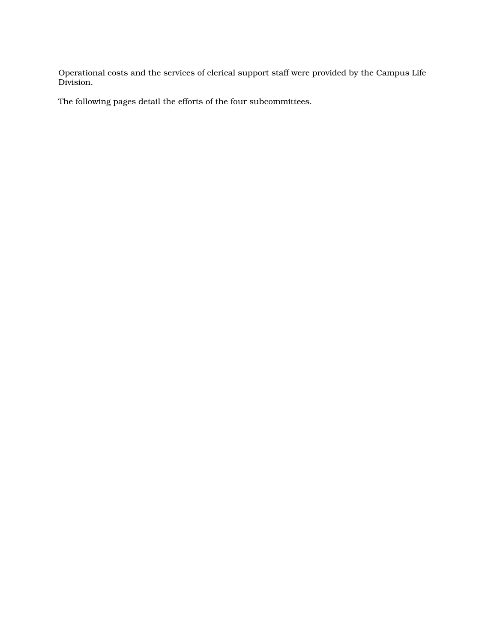Operational costs and the services of clerical support staff were provided by the Campus Life Division.

The following pages detail the efforts of the four subcommittees.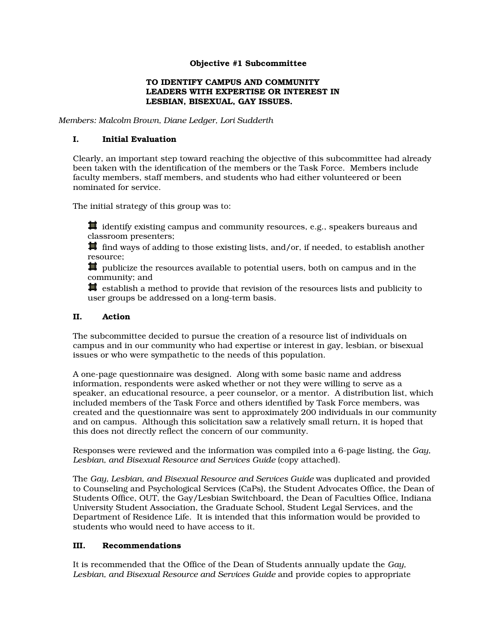# Objective #1 Subcommittee

## TO IDENTIFY CAMPUS AND COMMUNITY LEADERS WITH EXPERTISE OR INTEREST IN LESBIAN, BISEXUAL, GAY ISSUES.

*Members: Malcolm Brown, Diane Ledger, Lori Sudderth* 

## I. Initial Evaluation

Clearly, an important step toward reaching the objective of this subcommittee had already been taken with the identification of the members or the Task Force. Members include faculty members, staff members, and students who had either volunteered or been nominated for service.

The initial strategy of this group was to:

 $\sharp$  identify existing campus and community resources, e.g., speakers bureaus and classroom presenters;

 $\sharp$  find ways of adding to those existing lists, and/or, if needed, to establish another resource;

 $\sharp$  publicize the resources available to potential users, both on campus and in the community; and

 $\sharp$  establish a method to provide that revision of the resources lists and publicity to user groups be addressed on a long-term basis.

# II. Action

The subcommittee decided to pursue the creation of a resource list of individuals on campus and in our community who had expertise or interest in gay, lesbian, or bisexual issues or who were sympathetic to the needs of this population.

A one-page questionnaire was designed. Along with some basic name and address information, respondents were asked whether or not they were willing to serve as a speaker, an educational resource, a peer counselor, or a mentor. A distribution list, which included members of the Task Force and others identified by Task Force members, was created and the questionnaire was sent to approximately 200 individuals in our community and on campus. Although this solicitation saw a relatively small return, it is hoped that this does not directly reflect the concern of our community.

Responses were reviewed and the information was compiled into a 6-page listing, the *Gay,*  Lesbian, and Bisexual Resource and Services Guide (copy attached).

The *Gay, Lesbian, and Bisexual Resource and Services Guide* was duplicated and provided to Counseling and Psychological Services (CaPs), the Student Advocates Office, the Dean of Students Office, OUT, the Gay/Lesbian Switchboard, the Dean of Faculties Office, Indiana University Student Association, the Graduate School, Student Legal Services, and the Department of Residence Life. It is intended that this information would be provided to students who would need to have access to it.

## III. Recommendations

It is recommended that the Office of the Dean of Students annually update the *Gay, Lesbian, and Bisexual Resource and Services Guide* and provide copies to appropriate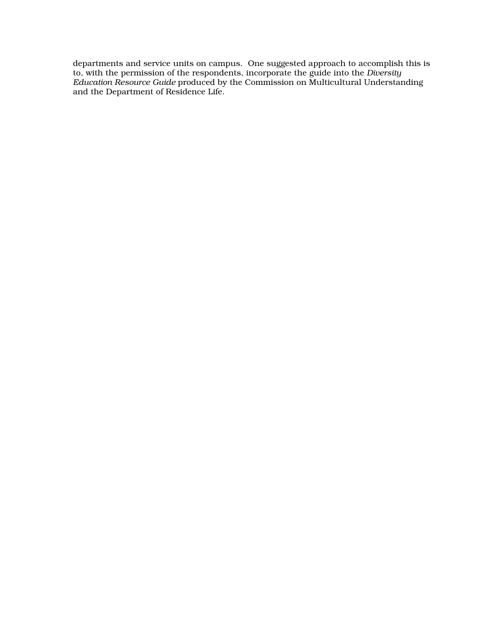departments and service units on campus. One suggested approach to accomplish this is to, with the permission of the respondents, incorporate the guide into the *Diversity Education Resource Guide* produced by the Commission on Multicultural Understanding and the Department of Residence Life.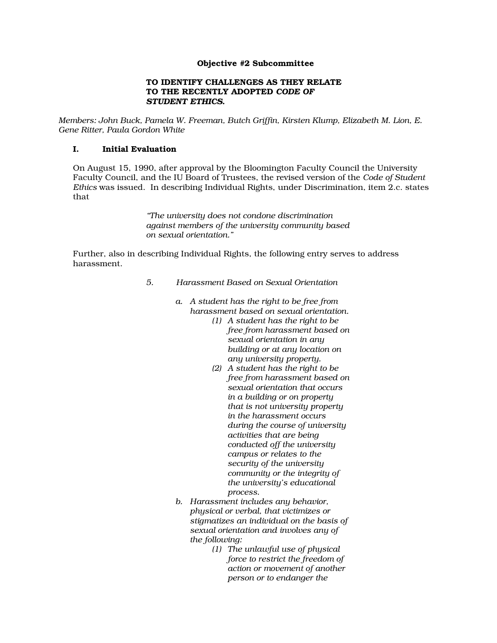## Objective #2 Subcommittee

#### TO IDENTIFY CHALLENGES AS THEY RELATE TO THE RECENTLY ADOPTED *CODE OF STUDENT ETHICS*.

*Members: John Buck, Pamela W. Freeman, Butch Griffin, Kirsten Klump, Elizabeth M. Lion, E. Gene Ritter, Paula Gordon White* 

# I. Initial Evaluation

On August 15, 1990, after approval by the Bloomington Faculty Council the University Faculty Council, and the IU Board of Trustees, the revised version of the *Code of Student Ethics* was issued. In describing Individual Rights, under Discrimination, item 2.c. states that

> *"The university does not condone discrimination against members of the university community based on sexual orientation."*

Further, also in describing Individual Rights, the following entry serves to address harassment.

- *5. Harassment Based on Sexual Orientation* 
	- *a. A student has the right to be free from harassment based on sexual orientation.* 
		- *(1) A student has the right to be free from harassment based on sexual orientation in any building or at any location on any university property.*
		- *(2) A student has the right to be free from harassment based on sexual orientation that occurs in a building or on property that is not university property in the harassment occurs during the course of university activities that are being conducted off the university campus or relates to the security of the university community or the integrity of the university's educational process.*
	- *b. Harassment includes any behavior, physical or verbal, that victimizes or stigmatizes an individual on the basis of sexual orientation and involves any of the following:* 
		- *(1) The unlawful use of physical force to restrict the freedom of action or movement of another person or to endanger the*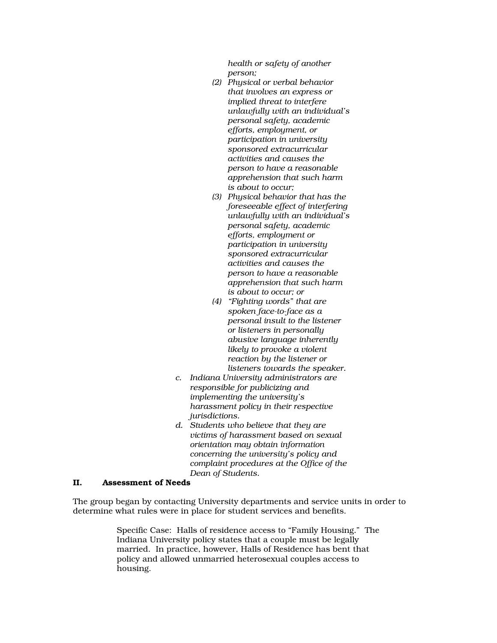*health or safety of another person;* 

- *(2) Physical or verbal behavior that involves an express or implied threat to interfere unlawfully with an individual's personal safety, academic efforts, employment, or participation in university sponsored extracurricular activities and causes the person to have a reasonable apprehension that such harm is about to occur;*
- *(3) Physical behavior that has the foreseeable effect of interfering unlawfully with an individual's personal safety, academic efforts, employment or participation in university sponsored extracurricular activities and causes the person to have a reasonable apprehension that such harm is about to occur; or*
- *(4) "Fighting words" that are spoken face-to-face as a personal insult to the listener or listeners in personally abusive language inherently likely to provoke a violent reaction by the listener or listeners towards the speaker.*
- *c. Indiana University administrators are responsible for publicizing and implementing the university's harassment policy in their respective jurisdictions.*
- *d. Students who believe that they are victims of harassment based on sexual orientation may obtain information concerning the university's policy and complaint procedures at the Office of the Dean of Students.*

## II. Assessment of Needs

The group began by contacting University departments and service units in order to determine what rules were in place for student services and benefits.

> Specific Case: Halls of residence access to "Family Housing." The Indiana University policy states that a couple must be legally married. In practice, however, Halls of Residence has bent that policy and allowed unmarried heterosexual couples access to housing.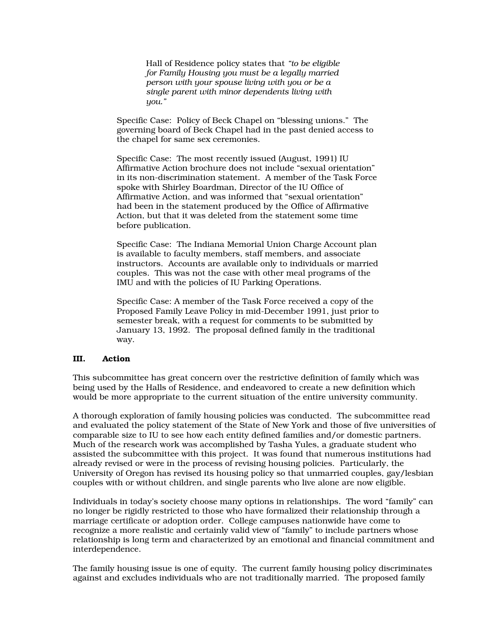Hall of Residence policy states that *"to be eligible for Family Housing you must be a legally married person with your spouse living with you or be a single parent with minor dependents living with you."*

Specific Case: Policy of Beck Chapel on "blessing unions." The governing board of Beck Chapel had in the past denied access to the chapel for same sex ceremonies.

Specific Case: The most recently issued (August, 1991) IU Affirmative Action brochure does not include "sexual orientation" in its non-discrimination statement. A member of the Task Force spoke with Shirley Boardman, Director of the IU Office of Affirmative Action, and was informed that "sexual orientation" had been in the statement produced by the Office of Affirmative Action, but that it was deleted from the statement some time before publication.

Specific Case: The Indiana Memorial Union Charge Account plan is available to faculty members, staff members, and associate instructors. Accounts are available only to individuals or married couples. This was not the case with other meal programs of the IMU and with the policies of IU Parking Operations.

Specific Case: A member of the Task Force received a copy of the Proposed Family Leave Policy in mid-December 1991, just prior to semester break, with a request for comments to be submitted by January 13, 1992. The proposal defined family in the traditional way.

## III. Action

This subcommittee has great concern over the restrictive definition of family which was being used by the Halls of Residence, and endeavored to create a new definition which would be more appropriate to the current situation of the entire university community.

A thorough exploration of family housing policies was conducted. The subcommittee read and evaluated the policy statement of the State of New York and those of five universities of comparable size to IU to see how each entity defined families and/or domestic partners. Much of the research work was accomplished by Tasha Yules, a graduate student who assisted the subcommittee with this project. It was found that numerous institutions had already revised or were in the process of revising housing policies. Particularly, the University of Oregon has revised its housing policy so that unmarried couples, gay/lesbian couples with or without children, and single parents who live alone are now eligible.

Individuals in today's society choose many options in relationships. The word "family" can no longer be rigidly restricted to those who have formalized their relationship through a marriage certificate or adoption order. College campuses nationwide have come to recognize a more realistic and certainly valid view of "family" to include partners whose relationship is long term and characterized by an emotional and financial commitment and interdependence.

The family housing issue is one of equity. The current family housing policy discriminates against and excludes individuals who are not traditionally married. The proposed family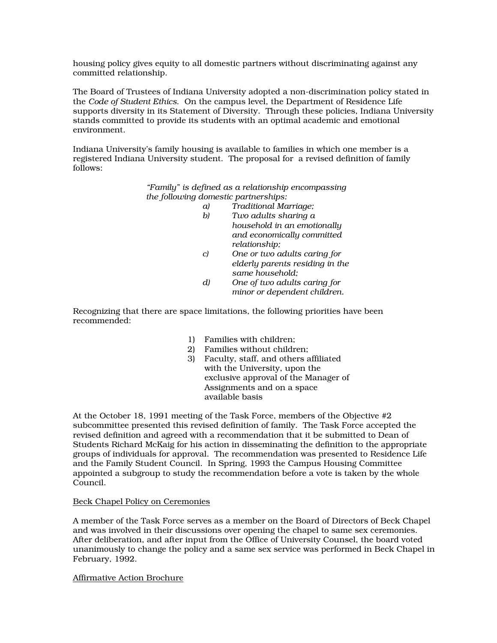housing policy gives equity to all domestic partners without discriminating against any committed relationship.

The Board of Trustees of Indiana University adopted a non-discrimination policy stated in the *Code of Student Ethics*. On the campus level, the Department of Residence Life supports diversity in its Statement of Diversity. Through these policies, Indiana University stands committed to provide its students with an optimal academic and emotional environment.

Indiana University's family housing is available to families in which one member is a registered Indiana University student. The proposal for a revised definition of family follows:

> *"Family" is defined as a relationship encompassing the following domestic partnerships:*

- *a) Traditional Marriage;* 
	- *b) Two adults sharing a household in an emotionally and economically committed relationship;*
	- *c) One or two adults caring for elderly parents residing in the same household;*
	- *d) One of two adults caring for minor or dependent children.*

Recognizing that there are space limitations, the following priorities have been recommended:

- 1) Families with children;
- 2) Families without children;
- 3) Faculty, staff, and others affiliated with the University, upon the exclusive approval of the Manager of Assignments and on a space available basis

At the October 18, 1991 meeting of the Task Force, members of the Objective #2 subcommittee presented this revised definition of family. The Task Force accepted the revised definition and agreed with a recommendation that it be submitted to Dean of Students Richard McKaig for his action in disseminating the definition to the appropriate groups of individuals for approval. The recommendation was presented to Residence Life and the Family Student Council. In Spring, 1993 the Campus Housing Committee appointed a subgroup to study the recommendation before a vote is taken by the whole Council.

## Beck Chapel Policy on Ceremonies

A member of the Task Force serves as a member on the Board of Directors of Beck Chapel and was involved in their discussions over opening the chapel to same sex ceremonies. After deliberation, and after input from the Office of University Counsel, the board voted unanimously to change the policy and a same sex service was performed in Beck Chapel in February, 1992.

Affirmative Action Brochure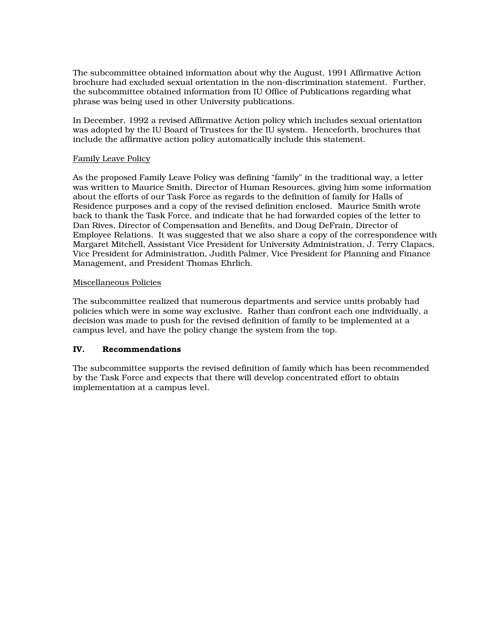The subcommittee obtained information about why the August, 1991 Affirmative Action brochure had excluded sexual orientation in the non-discrimination statement. Further, the subcommittee obtained information from IU Office of Publications regarding what phrase was being used in other University publications.

In December, 1992 a revised Affirmative Action policy which includes sexual orientation was adopted by the IU Board of Trustees for the IU system. Henceforth, brochures that include the affirmative action policy automatically include this statement.

## Family Leave Policy

As the proposed Family Leave Policy was defining "family" in the traditional way, a letter was written to Maurice Smith, Director of Human Resources, giving him some information about the efforts of our Task Force as regards to the definition of family for Halls of Residence purposes and a copy of the revised definition enclosed. Maurice Smith wrote back to thank the Task Force, and indicate that he had forwarded copies of the letter to Dan Rives, Director of Compensation and Benefits, and Doug DeFrain, Director of Employee Relations. It was suggested that we also share a copy of the correspondence with Margaret Mitchell, Assistant Vice President for University Administration, J. Terry Clapacs, Vice President for Administration, Judith Palmer, Vice President for Planning and Finance Management, and President Thomas Ehrlich.

## Miscellaneous Policies

The subcommittee realized that numerous departments and service units probably had policies which were in some way exclusive. Rather than confront each one individually, a decision was made to push for the revised definition of family to be implemented at a campus level, and have the policy change the system from the top.

# IV. Recommendations

The subcommittee supports the revised definition of family which has been recommended by the Task Force and expects that there will develop concentrated effort to obtain implementation at a campus level.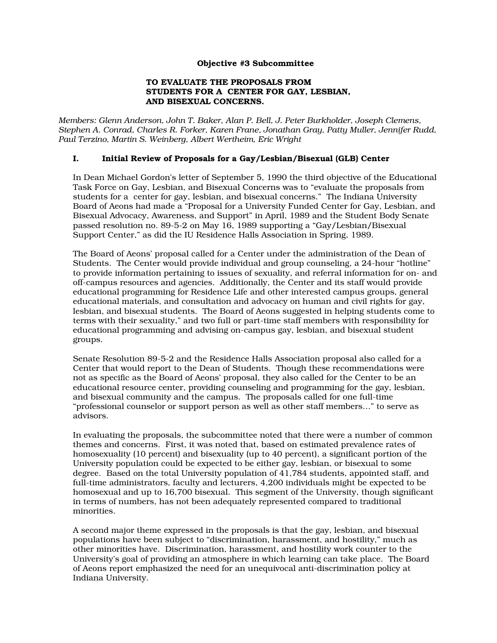## Objective #3 Subcommittee

#### TO EVALUATE THE PROPOSALS FROM STUDENTS FOR A CENTER FOR GAY, LESBIAN, AND BISEXUAL CONCERNS.

*Members: Glenn Anderson, John T. Baker, Alan P. Bell, J. Peter Burkholder, Joseph Clemens, Stephen A. Conrad, Charles R. Forker, Karen Frane, Jonathan Gray, Patty Muller, Jennifer Rudd, Paul Terzino, Martin S. Weinberg, Albert Wertheim, Eric Wright* 

## I. Initial Review of Proposals for a Gay/Lesbian/Bisexual (GLB) Center

In Dean Michael Gordon's letter of September 5, 1990 the third objective of the Educational Task Force on Gay, Lesbian, and Bisexual Concerns was to "evaluate the proposals from students for a center for gay, lesbian, and bisexual concerns." The Indiana University Board of Aeons had made a "Proposal for a University Funded Center for Gay, Lesbian, and Bisexual Advocacy, Awareness, and Support" in April, 1989 and the Student Body Senate passed resolution no. 89-5-2 on May 16, 1989 supporting a "Gay/Lesbian/Bisexual Support Center," as did the IU Residence Halls Association in Spring, 1989.

The Board of Aeons' proposal called for a Center under the administration of the Dean of Students. The Center would provide individual and group counseling, a 24-hour "hotline" to provide information pertaining to issues of sexuality, and referral information for on- and off-campus resources and agencies. Additionally, the Center and its staff would provide educational programming for Residence Life and other interested campus groups, general educational materials, and consultation and advocacy on human and civil rights for gay, lesbian, and bisexual students. The Board of Aeons suggested in helping students come to terms with their sexuality," and two full or part-time staff members with responsibility for educational programming and advising on-campus gay, lesbian, and bisexual student groups.

Senate Resolution 89-5-2 and the Residence Halls Association proposal also called for a Center that would report to the Dean of Students. Though these recommendations were not as specific as the Board of Aeons' proposal, they also called for the Center to be an educational resource center, providing counseling and programming for the gay, lesbian, and bisexual community and the campus. The proposals called for one full-time "professional counselor or support person as well as other staff members…" to serve as advisors.

In evaluating the proposals, the subcommittee noted that there were a number of common themes and concerns. First, it was noted that, based on estimated prevalence rates of homosexuality (10 percent) and bisexuality (up to 40 percent), a significant portion of the University population could be expected to be either gay, lesbian, or bisexual to some degree. Based on the total University population of 41,784 students, appointed staff, and full-time administrators, faculty and lecturers, 4,200 individuals might be expected to be homosexual and up to 16,700 bisexual. This segment of the University, though significant in terms of numbers, has not been adequately represented compared to traditional minorities.

A second major theme expressed in the proposals is that the gay, lesbian, and bisexual populations have been subject to "discrimination, harassment, and hostility," much as other minorities have. Discrimination, harassment, and hostility work counter to the University's goal of providing an atmosphere in which learning can take place. The Board of Aeons report emphasized the need for an unequivocal anti-discrimination policy at Indiana University.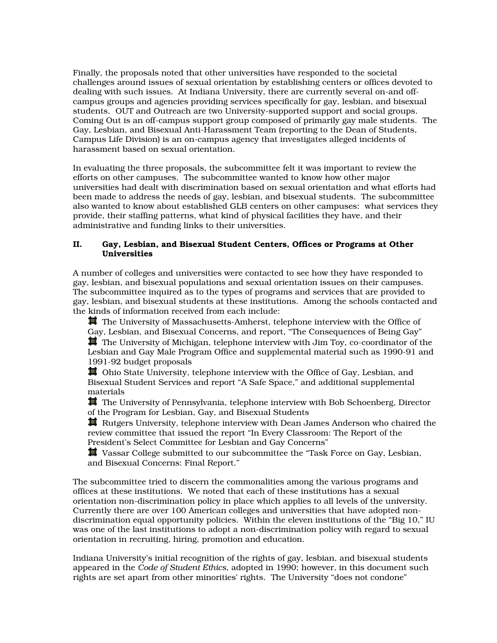Finally, the proposals noted that other universities have responded to the societal challenges around issues of sexual orientation by establishing centers or offices devoted to dealing with such issues. At Indiana University, there are currently several on-and offcampus groups and agencies providing services specifically for gay, lesbian, and bisexual students. OUT and Outreach are two University-supported support and social groups. Coming Out is an off-campus support group composed of primarily gay male students. The Gay, Lesbian, and Bisexual Anti-Harassment Team (reporting to the Dean of Students, Campus Life Division) is an on-campus agency that investigates alleged incidents of harassment based on sexual orientation.

In evaluating the three proposals, the subcommittee felt it was important to review the efforts on other campuses. The subcommittee wanted to know how other major universities had dealt with discrimination based on sexual orientation and what efforts had been made to address the needs of gay, lesbian, and bisexual students. The subcommittee also wanted to know about established GLB centers on other campuses: what services they provide, their staffing patterns, what kind of physical facilities they have, and their administrative and funding links to their universities.

## II. Gay, Lesbian, and Bisexual Student Centers, Offices or Programs at Other Universities

A number of colleges and universities were contacted to see how they have responded to gay, lesbian, and bisexual populations and sexual orientation issues on their campuses. The subcommittee inquired as to the types of programs and services that are provided to gay, lesbian, and bisexual students at these institutions. Among the schools contacted and the kinds of information received from each include:

**其** The University of Massachusetts-Amherst, telephone interview with the Office of Gay, Lesbian, and Bisexual Concerns, and report, "The Consequences of Being Gay"  $\blacksquare$  The University of Michigan, telephone interview with Jim Toy, co-coordinator of the Lesbian and Gay Male Program Office and supplemental material such as 1990-91 and 1991-92 budget proposals

 Ohio State University, telephone interview with the Office of Gay, Lesbian, and Bisexual Student Services and report "A Safe Space," and additional supplemental materials

The University of Pennsylvania, telephone interview with Bob Schoenberg, Director of the Program for Lesbian, Gay, and Bisexual Students

 Rutgers University, telephone interview with Dean James Anderson who chaired the review committee that issued the report "In Every Classroom: The Report of the President's Select Committee for Lesbian and Gay Concerns"

 Vassar College submitted to our subcommittee the "Task Force on Gay, Lesbian, and Bisexual Concerns: Final Report."

The subcommittee tried to discern the commonalities among the various programs and offices at these institutions. We noted that each of these institutions has a sexual orientation non-discrimination policy in place which applies to all levels of the university. Currently there are over 100 American colleges and universities that have adopted nondiscrimination equal opportunity policies. Within the eleven institutions of the "Big 10," IU was one of the last institutions to adopt a non-discrimination policy with regard to sexual orientation in recruiting, hiring, promotion and education.

Indiana University's initial recognition of the rights of gay, lesbian, and bisexual students appeared in the *Code of Student Ethics*, adopted in 1990; however, in this document such rights are set apart from other minorities' rights. The University "does not condone"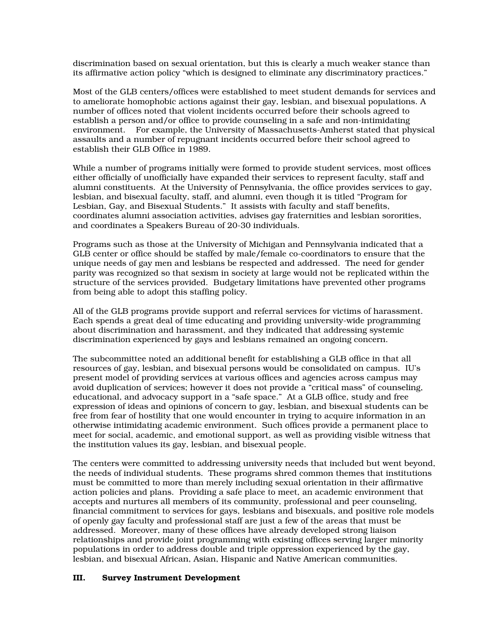discrimination based on sexual orientation, but this is clearly a much weaker stance than its affirmative action policy "which is designed to eliminate any discriminatory practices."

Most of the GLB centers/offices were established to meet student demands for services and to ameliorate homophobic actions against their gay, lesbian, and bisexual populations. A number of offices noted that violent incidents occurred before their schools agreed to establish a person and/or office to provide counseling in a safe and non-intimidating environment. For example, the University of Massachusetts-Amherst stated that physical assaults and a number of repugnant incidents occurred before their school agreed to establish their GLB Office in 1989.

While a number of programs initially were formed to provide student services, most offices either officially of unofficially have expanded their services to represent faculty, staff and alumni constituents. At the University of Pennsylvania, the office provides services to gay, lesbian, and bisexual faculty, staff, and alumni, even though it is titled "Program for Lesbian, Gay, and Bisexual Students." It assists with faculty and staff benefits, coordinates alumni association activities, advises gay fraternities and lesbian sororities, and coordinates a Speakers Bureau of 20-30 individuals.

Programs such as those at the University of Michigan and Pennsylvania indicated that a GLB center or office should be staffed by male/female co-coordinators to ensure that the unique needs of gay men and lesbians be respected and addressed. The need for gender parity was recognized so that sexism in society at large would not be replicated within the structure of the services provided. Budgetary limitations have prevented other programs from being able to adopt this staffing policy.

All of the GLB programs provide support and referral services for victims of harassment. Each spends a great deal of time educating and providing university-wide programming about discrimination and harassment, and they indicated that addressing systemic discrimination experienced by gays and lesbians remained an ongoing concern.

The subcommittee noted an additional benefit for establishing a GLB office in that all resources of gay, lesbian, and bisexual persons would be consolidated on campus. IU's present model of providing services at various offices and agencies across campus may avoid duplication of services; however it does not provide a "critical mass" of counseling, educational, and advocacy support in a "safe space." At a GLB office, study and free expression of ideas and opinions of concern to gay, lesbian, and bisexual students can be free from fear of hostility that one would encounter in trying to acquire information in an otherwise intimidating academic environment. Such offices provide a permanent place to meet for social, academic, and emotional support, as well as providing visible witness that the institution values its gay, lesbian, and bisexual people.

The centers were committed to addressing university needs that included but went beyond, the needs of individual students. These programs shred common themes that institutions must be committed to more than merely including sexual orientation in their affirmative action policies and plans. Providing a safe place to meet, an academic environment that accepts and nurtures all members of its community, professional and peer counseling, financial commitment to services for gays, lesbians and bisexuals, and positive role models of openly gay faculty and professional staff are just a few of the areas that must be addressed. Moreover, many of these offices have already developed strong liaison relationships and provide joint programming with existing offices serving larger minority populations in order to address double and triple oppression experienced by the gay, lesbian, and bisexual African, Asian, Hispanic and Native American communities.

# III. Survey Instrument Development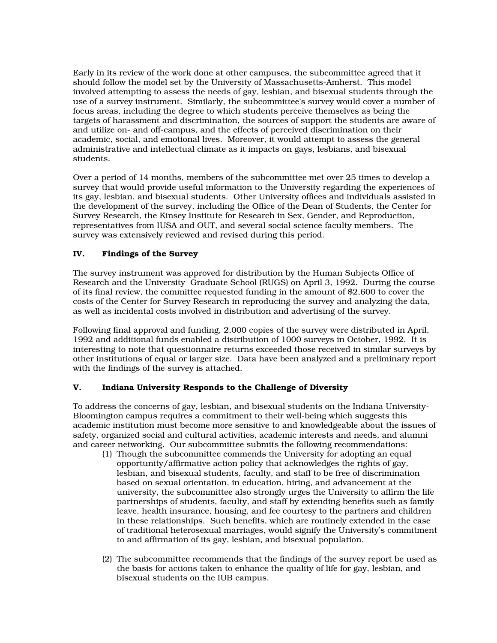Early in its review of the work done at other campuses, the subcommittee agreed that it should follow the model set by the University of Massachusetts-Amherst. This model involved attempting to assess the needs of gay, lesbian, and bisexual students through the use of a survey instrument. Similarly, the subcommittee's survey would cover a number of focus areas, including the degree to which students perceive themselves as being the targets of harassment and discrimination, the sources of support the students are aware of and utilize on- and off-campus, and the effects of perceived discrimination on their academic, social, and emotional lives. Moreover, it would attempt to assess the general administrative and intellectual climate as it impacts on gays, lesbians, and bisexual students.

Over a period of 14 months, members of the subcommittee met over 25 times to develop a survey that would provide useful information to the University regarding the experiences of its gay, lesbian, and bisexual students. Other University offices and individuals assisted in the development of the survey, including the Office of the Dean of Students, the Center for Survey Research, the Kinsey Institute for Research in Sex, Gender, and Reproduction, representatives from IUSA and OUT, and several social science faculty members. The survey was extensively reviewed and revised during this period.

# IV. Findings of the Survey

The survey instrument was approved for distribution by the Human Subjects Office of Research and the University Graduate School (RUGS) on April 3, 1992. During the course of its final review, the committee requested funding in the amount of \$2,600 to cover the costs of the Center for Survey Research in reproducing the survey and analyzing the data, as well as incidental costs involved in distribution and advertising of the survey.

Following final approval and funding, 2,000 copies of the survey were distributed in April, 1992 and additional funds enabled a distribution of 1000 surveys in October, 1992. It is interesting to note that questionnaire returns exceeded those received in similar surveys by other institutions of equal or larger size. Data have been analyzed and a preliminary report with the findings of the survey is attached.

# V. Indiana University Responds to the Challenge of Diversity

To address the concerns of gay, lesbian, and bisexual students on the Indiana University-Bloomington campus requires a commitment to their well-being which suggests this academic institution must become more sensitive to and knowledgeable about the issues of safety, organized social and cultural activities, academic interests and needs, and alumni and career networking. Our subcommittee submits the following recommendations:

- (1) Though the subcommittee commends the University for adopting an equal opportunity/affirmative action policy that acknowledges the rights of gay, lesbian, and bisexual students, faculty, and staff to be free of discrimination based on sexual orientation, in education, hiring, and advancement at the university, the subcommittee also strongly urges the University to affirm the life partnerships of students, faculty, and staff by extending benefits such as family leave, health insurance, housing, and fee courtesy to the partners and children in these relationships. Such benefits, which are routinely extended in the case of traditional heterosexual marriages, would signify the University's commitment to and affirmation of its gay, lesbian, and bisexual population.
- (2) The subcommittee recommends that the findings of the survey report be used as the basis for actions taken to enhance the quality of life for gay, lesbian, and bisexual students on the IUB campus.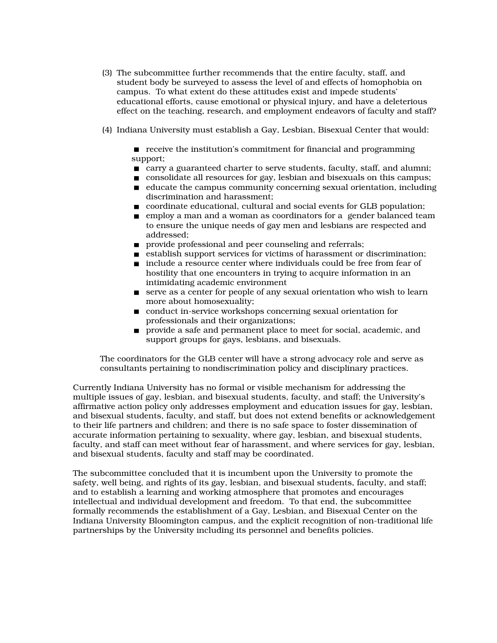- (3) The subcommittee further recommends that the entire faculty, staff, and student body be surveyed to assess the level of and effects of homophobia on campus. To what extent do these attitudes exist and impede students' educational efforts, cause emotional or physical injury, and have a deleterious effect on the teaching, research, and employment endeavors of faculty and staff?
- (4) Indiana University must establish a Gay, Lesbian, Bisexual Center that would:

 receive the institution's commitment for financial and programming support;

- carry a guaranteed charter to serve students, faculty, staff, and alumni;
- consolidate all resources for gay, lesbian and bisexuals on this campus;
- $\blacksquare$  educate the campus community concerning sexual orientation, including discrimination and harassment;
- coordinate educational, cultural and social events for GLB population;
- employ a man and a woman as coordinators for a gender balanced team to ensure the unique needs of gay men and lesbians are respected and addressed;
- **provide professional and peer counseling and referrals;**
- establish support services for victims of harassment or discrimination;
- include a resource center where individuals could be free from fear of hostility that one encounters in trying to acquire information in an intimidating academic environment
- serve as a center for people of any sexual orientation who wish to learn more about homosexuality;
- conduct in-service workshops concerning sexual orientation for professionals and their organizations;
- **provide a safe and permanent place to meet for social, academic, and** support groups for gays, lesbians, and bisexuals.

The coordinators for the GLB center will have a strong advocacy role and serve as consultants pertaining to nondiscrimination policy and disciplinary practices.

Currently Indiana University has no formal or visible mechanism for addressing the multiple issues of gay, lesbian, and bisexual students, faculty, and staff; the University's affirmative action policy only addresses employment and education issues for gay, lesbian, and bisexual students, faculty, and staff, but does not extend benefits or acknowledgement to their life partners and children; and there is no safe space to foster dissemination of accurate information pertaining to sexuality, where gay, lesbian, and bisexual students, faculty, and staff can meet without fear of harassment, and where services for gay, lesbian, and bisexual students, faculty and staff may be coordinated.

The subcommittee concluded that it is incumbent upon the University to promote the safety, well being, and rights of its gay, lesbian, and bisexual students, faculty, and staff; and to establish a learning and working atmosphere that promotes and encourages intellectual and individual development and freedom. To that end, the subcommittee formally recommends the establishment of a Gay, Lesbian, and Bisexual Center on the Indiana University Bloomington campus, and the explicit recognition of non-traditional life partnerships by the University including its personnel and benefits policies.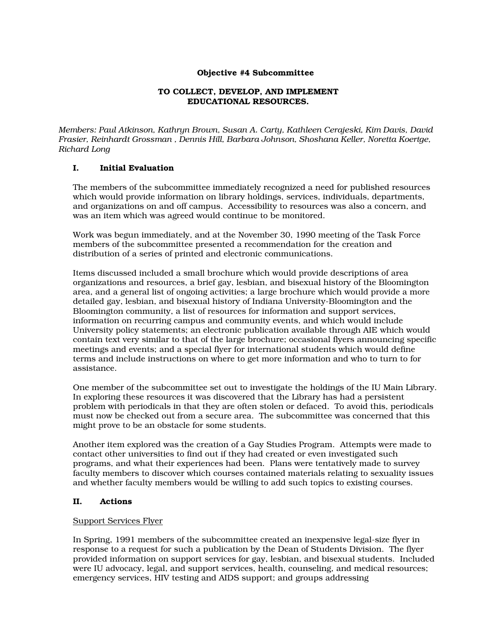## Objective #4 Subcommittee

## TO COLLECT, DEVELOP, AND IMPLEMENT EDUCATIONAL RESOURCES.

*Members: Paul Atkinson, Kathryn Brown, Susan A. Carty, Kathleen Cerajeski, Kim Davis, David Frasier, Reinhardt Grossman , Dennis Hill, Barbara Johnson, Shoshana Keller, Noretta Koertge, Richard Long* 

## I. Initial Evaluation

The members of the subcommittee immediately recognized a need for published resources which would provide information on library holdings, services, individuals, departments, and organizations on and off campus. Accessibility to resources was also a concern, and was an item which was agreed would continue to be monitored.

Work was begun immediately, and at the November 30, 1990 meeting of the Task Force members of the subcommittee presented a recommendation for the creation and distribution of a series of printed and electronic communications.

Items discussed included a small brochure which would provide descriptions of area organizations and resources, a brief gay, lesbian, and bisexual history of the Bloomington area, and a general list of ongoing activities; a large brochure which would provide a more detailed gay, lesbian, and bisexual history of Indiana University-Bloomington and the Bloomington community, a list of resources for information and support services, information on recurring campus and community events, and which would include University policy statements; an electronic publication available through AIE which would contain text very similar to that of the large brochure; occasional flyers announcing specific meetings and events; and a special flyer for international students which would define terms and include instructions on where to get more information and who to turn to for assistance.

One member of the subcommittee set out to investigate the holdings of the IU Main Library. In exploring these resources it was discovered that the Library has had a persistent problem with periodicals in that they are often stolen or defaced. To avoid this, periodicals must now be checked out from a secure area. The subcommittee was concerned that this might prove to be an obstacle for some students.

Another item explored was the creation of a Gay Studies Program. Attempts were made to contact other universities to find out if they had created or even investigated such programs, and what their experiences had been. Plans were tentatively made to survey faculty members to discover which courses contained materials relating to sexuality issues and whether faculty members would be willing to add such topics to existing courses.

## II. Actions

## Support Services Flyer

In Spring, 1991 members of the subcommittee created an inexpensive legal-size flyer in response to a request for such a publication by the Dean of Students Division. The flyer provided information on support services for gay, lesbian, and bisexual students. Included were IU advocacy, legal, and support services, health, counseling, and medical resources; emergency services, HIV testing and AIDS support; and groups addressing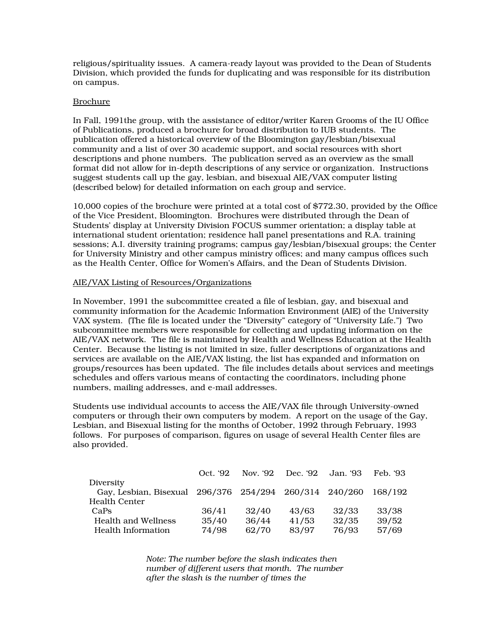religious/spirituality issues. A camera-ready layout was provided to the Dean of Students Division, which provided the funds for duplicating and was responsible for its distribution on campus.

## Brochure

In Fall, 1991the group, with the assistance of editor/writer Karen Grooms of the IU Office of Publications, produced a brochure for broad distribution to IUB students. The publication offered a historical overview of the Bloomington gay/lesbian/bisexual community and a list of over 30 academic support, and social resources with short descriptions and phone numbers. The publication served as an overview as the small format did not allow for in-depth descriptions of any service or organization. Instructions suggest students call up the gay, lesbian, and bisexual AIE/VAX computer listing (described below) for detailed information on each group and service.

10,000 copies of the brochure were printed at a total cost of \$772.30, provided by the Office of the Vice President, Bloomington. Brochures were distributed through the Dean of Students' display at University Division FOCUS summer orientation; a display table at international student orientation; residence hall panel presentations and R.A. training sessions; A.I. diversity training programs; campus gay/lesbian/bisexual groups; the Center for University Ministry and other campus ministry offices; and many campus offices such as the Health Center, Office for Women's Affairs, and the Dean of Students Division.

# AIE/VAX Listing of Resources/Organizations

In November, 1991 the subcommittee created a file of lesbian, gay, and bisexual and community information for the Academic Information Environment (AIE) of the University VAX system. (The file is located under the "Diversity" category of "University Life.") Two subcommittee members were responsible for collecting and updating information on the AIE/VAX network. The file is maintained by Health and Wellness Education at the Health Center. Because the listing is not limited in size, fuller descriptions of organizations and services are available on the AIE/VAX listing, the list has expanded and information on groups/resources has been updated. The file includes details about services and meetings schedules and offers various means of contacting the coordinators, including phone numbers, mailing addresses, and e-mail addresses.

Students use individual accounts to access the AIE/VAX file through University-owned computers or through their own computers by modem. A report on the usage of the Gay, Lesbian, and Bisexual listing for the months of October, 1992 through February, 1993 follows. For purposes of comparison, figures on usage of several Health Center files are also provided.

|                                                        | Oct. '92 |       | Nov. '92 Dec. '92 Jan. '93 |       | Feb. '93 |
|--------------------------------------------------------|----------|-------|----------------------------|-------|----------|
| Diversity                                              |          |       |                            |       |          |
| Gay, Lesbian, Bisexual 296/376 254/294 260/314 240/260 |          |       |                            |       | 168/192  |
| <b>Health Center</b>                                   |          |       |                            |       |          |
| CaPs                                                   | 36/41    | 32/40 | 43/63                      | 32/33 | 33/38    |
| <b>Health and Wellness</b>                             | 35/40    | 36/44 | 41/53                      | 32/35 | 39/52    |
| Health Information                                     | 74/98    | 62/70 | 83/97                      | 76/93 | 57/69    |

*Note: The number before the slash indicates then number of different users that month. The number after the slash is the number of times the*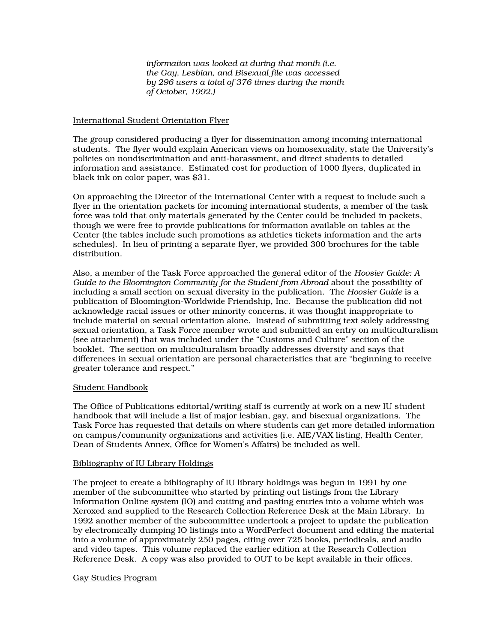*information was looked at during that month (i.e. the Gay, Lesbian, and Bisexual file was accessed by 296 users a total of 376 times during the month of October, 1992.)* 

## International Student Orientation Flyer

The group considered producing a flyer for dissemination among incoming international students. The flyer would explain American views on homosexuality, state the University's policies on nondiscrimination and anti-harassment, and direct students to detailed information and assistance. Estimated cost for production of 1000 flyers, duplicated in black ink on color paper, was \$31.

On approaching the Director of the International Center with a request to include such a flyer in the orientation packets for incoming international students, a member of the task force was told that only materials generated by the Center could be included in packets, though we were free to provide publications for information available on tables at the Center (the tables include such promotions as athletics tickets information and the arts schedules). In lieu of printing a separate flyer, we provided 300 brochures for the table distribution.

Also, a member of the Task Force approached the general editor of the *Hoosier Guide: A Guide to the Bloomington Community for the Student from Abroad* about the possibility of including a small section on sexual diversity in the publication. The *Hoosier Guide* is a publication of Bloomington-Worldwide Friendship, Inc. Because the publication did not acknowledge racial issues or other minority concerns, it was thought inappropriate to include material on sexual orientation alone. Instead of submitting text solely addressing sexual orientation, a Task Force member wrote and submitted an entry on multiculturalism (see attachment) that was included under the "Customs and Culture" section of the booklet. The section on multiculturalism broadly addresses diversity and says that differences in sexual orientation are personal characteristics that are "beginning to receive greater tolerance and respect."

## Student Handbook

The Office of Publications editorial/writing staff is currently at work on a new IU student handbook that will include a list of major lesbian, gay, and bisexual organizations. The Task Force has requested that details on where students can get more detailed information on campus/community organizations and activities (i.e. AIE/VAX listing, Health Center, Dean of Students Annex, Office for Women's Affairs) be included as well.

## Bibliography of IU Library Holdings

The project to create a bibliography of IU library holdings was begun in 1991 by one member of the subcommittee who started by printing out listings from the Library Information Online system (IO) and cutting and pasting entries into a volume which was Xeroxed and supplied to the Research Collection Reference Desk at the Main Library. In 1992 another member of the subcommittee undertook a project to update the publication by electronically dumping IO listings into a WordPerfect document and editing the material into a volume of approximately 250 pages, citing over 725 books, periodicals, and audio and video tapes. This volume replaced the earlier edition at the Research Collection Reference Desk. A copy was also provided to OUT to be kept available in their offices.

## Gay Studies Program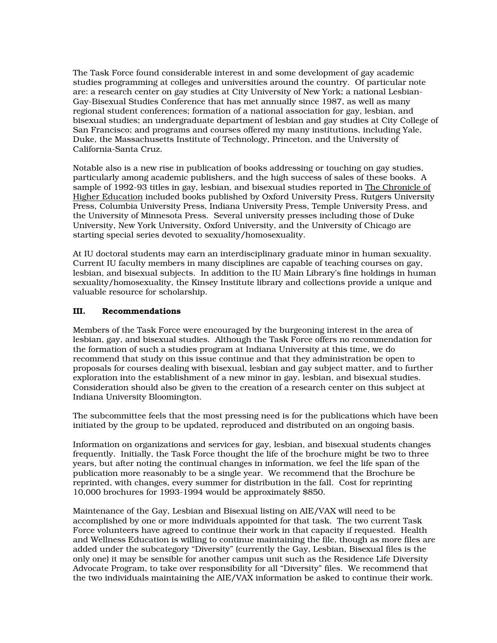The Task Force found considerable interest in and some development of gay academic studies programming at colleges and universities around the country. Of particular note are: a research center on gay studies at City University of New York; a national Lesbian-Gay-Bisexual Studies Conference that has met annually since 1987, as well as many regional student conferences; formation of a national association for gay, lesbian, and bisexual studies; an undergraduate department of lesbian and gay studies at City College of San Francisco; and programs and courses offered my many institutions, including Yale, Duke, the Massachusetts Institute of Technology, Princeton, and the University of California-Santa Cruz.

Notable also is a new rise in publication of books addressing or touching on gay studies, particularly among academic publishers, and the high success of sales of these books. A sample of 1992-93 titles in gay, lesbian, and bisexual studies reported in The Chronicle of Higher Education included books published by Oxford University Press, Rutgers University Press, Columbia University Press, Indiana University Press, Temple University Press, and the University of Minnesota Press. Several university presses including those of Duke University, New York University, Oxford University, and the University of Chicago are starting special series devoted to sexuality/homosexuality.

At IU doctoral students may earn an interdisciplinary graduate minor in human sexuality. Current IU faculty members in many disciplines are capable of teaching courses on gay, lesbian, and bisexual subjects. In addition to the IU Main Library's fine holdings in human sexuality/homosexuality, the Kinsey Institute library and collections provide a unique and valuable resource for scholarship.

# III. Recommendations

Members of the Task Force were encouraged by the burgeoning interest in the area of lesbian, gay, and bisexual studies. Although the Task Force offers no recommendation for the formation of such a studies program at Indiana University at this time, we do recommend that study on this issue continue and that they administration be open to proposals for courses dealing with bisexual, lesbian and gay subject matter, and to further exploration into the establishment of a new minor in gay, lesbian, and bisexual studies. Consideration should also be given to the creation of a research center on this subject at Indiana University Bloomington.

The subcommittee feels that the most pressing need is for the publications which have been initiated by the group to be updated, reproduced and distributed on an ongoing basis.

Information on organizations and services for gay, lesbian, and bisexual students changes frequently. Initially, the Task Force thought the life of the brochure might be two to three years, but after noting the continual changes in information, we feel the life span of the publication more reasonably to be a single year. We recommend that the Brochure be reprinted, with changes, every summer for distribution in the fall. Cost for reprinting 10,000 brochures for 1993-1994 would be approximately \$850.

Maintenance of the Gay, Lesbian and Bisexual listing on AIE/VAX will need to be accomplished by one or more individuals appointed for that task. The two current Task Force volunteers have agreed to continue their work in that capacity if requested. Health and Wellness Education is willing to continue maintaining the file, though as more files are added under the subcategory "Diversity" (currently the Gay, Lesbian, Bisexual files is the only one) it may be sensible for another campus unit such as the Residence Life Diversity Advocate Program, to take over responsibility for all "Diversity" files. We recommend that the two individuals maintaining the AIE/VAX information be asked to continue their work.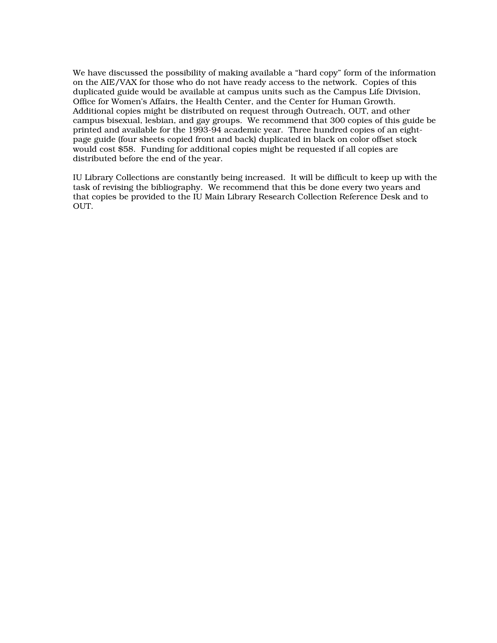We have discussed the possibility of making available a "hard copy" form of the information on the AIE/VAX for those who do not have ready access to the network. Copies of this duplicated guide would be available at campus units such as the Campus Life Division, Office for Women's Affairs, the Health Center, and the Center for Human Growth. Additional copies might be distributed on request through Outreach, OUT, and other campus bisexual, lesbian, and gay groups. We recommend that 300 copies of this guide be printed and available for the 1993-94 academic year. Three hundred copies of an eightpage guide (four sheets copied front and back) duplicated in black on color offset stock would cost \$58. Funding for additional copies might be requested if all copies are distributed before the end of the year.

IU Library Collections are constantly being increased. It will be difficult to keep up with the task of revising the bibliography. We recommend that this be done every two years and that copies be provided to the IU Main Library Research Collection Reference Desk and to OUT.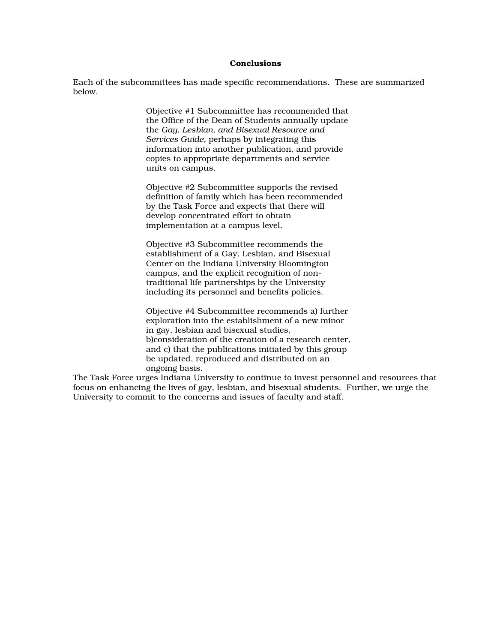#### Conclusions

Each of the subcommittees has made specific recommendations. These are summarized below.

> Objective #1 Subcommittee has recommended that the Office of the Dean of Students annually update the *Gay, Lesbian, and Bisexual Resource and Services Guide,* perhaps by integrating this information into another publication, and provide copies to appropriate departments and service units on campus.

Objective #2 Subcommittee supports the revised definition of family which has been recommended by the Task Force and expects that there will develop concentrated effort to obtain implementation at a campus level.

Objective #3 Subcommittee recommends the establishment of a Gay, Lesbian, and Bisexual Center on the Indiana University Bloomington campus, and the explicit recognition of nontraditional life partnerships by the University including its personnel and benefits policies.

Objective #4 Subcommittee recommends a) further exploration into the establishment of a new minor in gay, lesbian and bisexual studies, b)consideration of the creation of a research center, and c) that the publications initiated by this group be updated, reproduced and distributed on an ongoing basis.

The Task Force urges Indiana University to continue to invest personnel and resources that focus on enhancing the lives of gay, lesbian, and bisexual students. Further, we urge the University to commit to the concerns and issues of faculty and staff.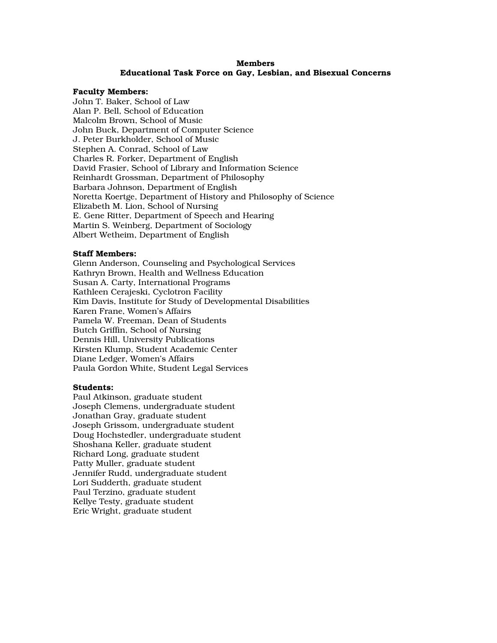# Members Educational Task Force on Gay, Lesbian, and Bisexual Concerns

#### Faculty Members:

John T. Baker, School of Law Alan P. Bell, School of Education Malcolm Brown, School of Music John Buck, Department of Computer Science J. Peter Burkholder, School of Music Stephen A. Conrad, School of Law Charles R. Forker, Department of English David Frasier, School of Library and Information Science Reinhardt Grossman, Department of Philosophy Barbara Johnson, Department of English Noretta Koertge, Department of History and Philosophy of Science Elizabeth M. Lion, School of Nursing E. Gene Ritter, Department of Speech and Hearing Martin S. Weinberg, Department of Sociology Albert Wetheim, Department of English

#### Staff Members:

Glenn Anderson, Counseling and Psychological Services Kathryn Brown, Health and Wellness Education Susan A. Carty, International Programs Kathleen Cerajeski, Cyclotron Facility Kim Davis, Institute for Study of Developmental Disabilities Karen Frane, Women's Affairs Pamela W. Freeman, Dean of Students Butch Griffin, School of Nursing Dennis Hill, University Publications Kirsten Klump, Student Academic Center Diane Ledger, Women's Affairs Paula Gordon White, Student Legal Services

## Students:

Paul Atkinson, graduate student Joseph Clemens, undergraduate student Jonathan Gray, graduate student Joseph Grissom, undergraduate student Doug Hochstedler, undergraduate student Shoshana Keller, graduate student Richard Long, graduate student Patty Muller, graduate student Jennifer Rudd, undergraduate student Lori Sudderth, graduate student Paul Terzino, graduate student Kellye Testy, graduate student Eric Wright, graduate student